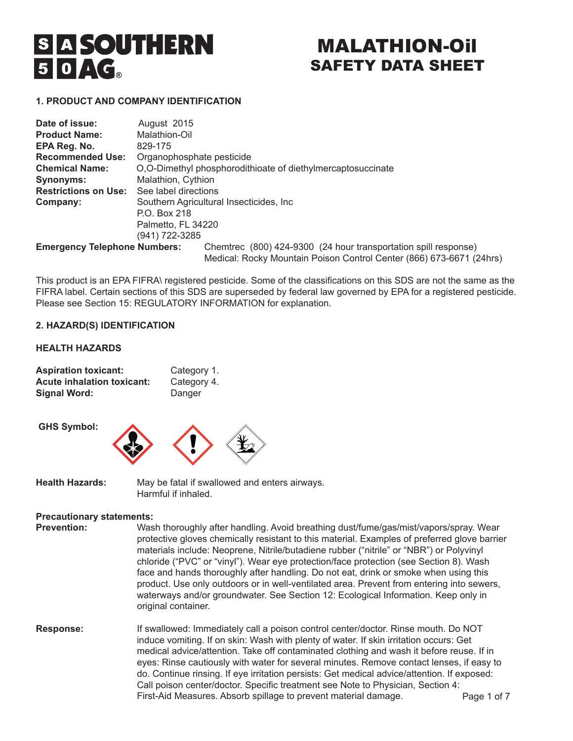# **S A SOUTHERN**  $50AG$

# MALATHION-Oil SAFETY DATA SHEET

# **1. PRODUCT AND COMPANY IDENTIFICATION**

| Date of issue:              | August 2015                                                             |  |  |  |
|-----------------------------|-------------------------------------------------------------------------|--|--|--|
| <b>Product Name:</b>        | Malathion-Oil                                                           |  |  |  |
| EPA Reg. No.                | 829-175                                                                 |  |  |  |
| <b>Recommended Use:</b>     | Organophosphate pesticide                                               |  |  |  |
| <b>Chemical Name:</b>       | O.O-Dimethyl phosphorodithioate of diethylmercaptosuccinate             |  |  |  |
| <b>Synonyms:</b>            | Malathion, Cythion                                                      |  |  |  |
| <b>Restrictions on Use:</b> | See label directions                                                    |  |  |  |
| Company:                    | Southern Agricultural Insecticides, Inc.                                |  |  |  |
|                             | P.O. Box 218                                                            |  |  |  |
|                             | Palmetto, FL 34220                                                      |  |  |  |
|                             | (941) 722-3285                                                          |  |  |  |
| Emergency Telephone Numbers | $Chamtrac$ $(800)$ $424-9300$ $(24$ hour transportation spill response) |  |  |  |

**Emergency Telephone Numbers:** Chemtrec (800) 424-9300 (24 hour transportation spill response) Medical: Rocky Mountain Poison Control Center (866) 673-6671 (24hrs)

This product is an EPA FIFRA\ registered pesticide. Some of the classifications on this SDS are not the same as the FIFRA label. Certain sections of this SDS are superseded by federal law governed by EPA for a registered pesticide. Please see Section 15: REGULATORY INFORMATION for explanation.

# **2. HAZARD(S) IDENTIFICATION**

# **HEALTH HAZARDS**

| <b>Aspiration toxicant:</b>       | Category 1. |
|-----------------------------------|-------------|
| <b>Acute inhalation toxicant:</b> | Category 4. |
| <b>Signal Word:</b>               | Danger      |

 **GHS Symbol:**



**Health Hazards:** May be fatal if swallowed and enters airways. Harmful if inhaled.

# **Precautionary statements:**

**Prevention:** Wash thoroughly after handling. Avoid breathing dust/fume/gas/mist/vapors/spray. Wear protective gloves chemically resistant to this material. Examples of preferred glove barrier materials include: Neoprene, Nitrile/butadiene rubber ("nitrile" or "NBR") or Polyvinyl chloride ("PVC" or "vinyl"). Wear eye protection/face protection (see Section 8). Wash face and hands thoroughly after handling. Do not eat, drink or smoke when using this product. Use only outdoors or in well-ventilated area. Prevent from entering into sewers, waterways and/or groundwater. See Section 12: Ecological Information. Keep only in original container.

**Response:** If swallowed: Immediately call a poison control center/doctor. Rinse mouth. Do NOT induce vomiting. If on skin: Wash with plenty of water. If skin irritation occurs: Get medical advice/attention. Take off contaminated clothing and wash it before reuse. If in eyes: Rinse cautiously with water for several minutes. Remove contact lenses, if easy to do. Continue rinsing. If eye irritation persists: Get medical advice/attention. If exposed: Call poison center/doctor. Specific treatment see Note to Physician, Section 4: First-Aid Measures. Absorb spillage to prevent material damage. Page 1 of 7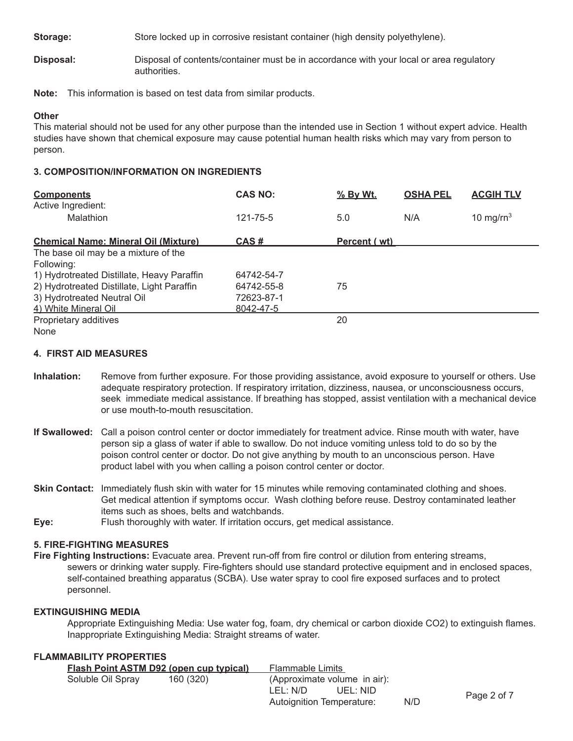**Storage:** Store locked up in corrosive resistant container (high density polyethylene).

**Disposal:** Disposal of contents/container must be in accordance with your local or area regulatory authorities.

**Note:** This information is based on test data from similar products.

# **Other**

This material should not be used for any other purpose than the intended use in Section 1 without expert advice. Health studies have shown that chemical exposure may cause potential human health risks which may vary from person to person.

# **3. COMPOSITION/INFORMATION ON INGREDIENTS**

| <b>Components</b><br>Active Ingredient:     | <b>CAS NO:</b> | % By Wt.     | <b>OSHA PEL</b> | <b>ACGIH TLV</b> |
|---------------------------------------------|----------------|--------------|-----------------|------------------|
| Malathion                                   | 121-75-5       | 5.0          | N/A             | 10 mg/ $rn^3$    |
| <b>Chemical Name: Mineral Oil (Mixture)</b> | CAS#           | Percent (wt) |                 |                  |
| The base oil may be a mixture of the        |                |              |                 |                  |
| Following:                                  |                |              |                 |                  |
| 1) Hydrotreated Distillate, Heavy Paraffin  | 64742-54-7     |              |                 |                  |
| 2) Hydrotreated Distillate, Light Paraffin  | 64742-55-8     | 75           |                 |                  |
| 3) Hydrotreated Neutral Oil                 | 72623-87-1     |              |                 |                  |
| 4) White Mineral Oil                        | 8042-47-5      |              |                 |                  |
| Proprietary additives                       |                | 20           |                 |                  |
| <b>None</b>                                 |                |              |                 |                  |

# **4. FIRST AID MEASURES**

- **Inhalation:** Remove from further exposure. For those providing assistance, avoid exposure to yourself or others. Use adequate respiratory protection. If respiratory irritation, dizziness, nausea, or unconsciousness occurs, seek immediate medical assistance. If breathing has stopped, assist ventilation with a mechanical device or use mouth-to-mouth resuscitation.
- **If Swallowed:** Call a poison control center or doctor immediately for treatment advice. Rinse mouth with water, have person sip a glass of water if able to swallow. Do not induce vomiting unless told to do so by the poison control center or doctor. Do not give anything by mouth to an unconscious person. Have product label with you when calling a poison control center or doctor.
- **Skin Contact:** Immediately flush skin with water for 15 minutes while removing contaminated clothing and shoes. Get medical attention if symptoms occur. Wash clothing before reuse. Destroy contaminated leather items such as shoes, belts and watchbands.
- **Eye:** FIush thoroughly with water. If irritation occurs, get medical assistance.

# **5. FIRE-FIGHTING MEASURES**

**Fire Fighting Instructions:** Evacuate area. Prevent run-off from fire control or dilution from entering streams, sewers or drinking water supply. Fire-fighters should use standard protective equipment and in enclosed spaces, self-contained breathing apparatus (SCBA). Use water spray to cool fire exposed surfaces and to protect personnel.

# **EXTINGUISHING MEDIA**

Appropriate Extinguishing Media: Use water fog, foam, dry chemical or carbon dioxide CO2) to extinguish flames. Inappropriate Extinguishing Media: Straight streams of water.

# **FLAMMABILITY PROPERTIES**

| <b>Flash Point ASTM D92 (open cup typical)</b> |  | Flammable Limits             |     |             |
|------------------------------------------------|--|------------------------------|-----|-------------|
| Soluble Oil Spray<br>160 (320)                 |  | (Approximate volume in air): |     |             |
|                                                |  | LEL: N/D<br>UEL: NID         |     | Page 2 of 7 |
|                                                |  | Autoignition Temperature:    | N/D |             |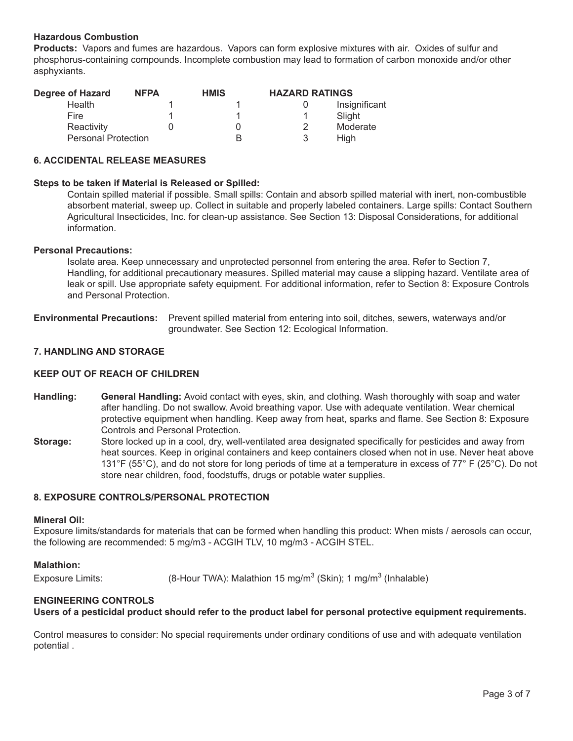# **Hazardous Combustion**

**Products:** Vapors and fumes are hazardous. Vapors can form explosive mixtures with air. Oxides of sulfur and phosphorus-containing compounds. Incomplete combustion may lead to formation of carbon monoxide and/or other asphyxiants.

| Degree of Hazard           | <b>NFPA</b> | <b>HMIS</b> | <b>HAZARD RATINGS</b> |               |
|----------------------------|-------------|-------------|-----------------------|---------------|
| Health                     |             |             |                       | Insignificant |
| Fire                       |             |             |                       | Slight        |
| Reactivity                 |             |             |                       | Moderate      |
| <b>Personal Protection</b> |             |             |                       | Hiah          |

# **6. ACCIDENTAL RELEASE MEASURES**

#### **Steps to be taken if Material is Released or Spilled:**

Contain spilled material if possible. Small spills: Contain and absorb spilled material with inert, non-combustible absorbent material, sweep up. Collect in suitable and properly labeled containers. Large spills: Contact Southern Agricultural Insecticides, Inc. for clean-up assistance. See Section 13: Disposal Considerations, for additional information.

#### **Personal Precautions:**

Isolate area. Keep unnecessary and unprotected personnel from entering the area. Refer to Section 7, Handling, for additional precautionary measures. Spilled material may cause a slipping hazard. Ventilate area of leak or spill. Use appropriate safety equipment. For additional information, refer to Section 8: Exposure Controls and Personal Protection.

**Environmental Precautions:** Prevent spilled material from entering into soil, ditches, sewers, waterways and/or groundwater. See Section 12: Ecological Information.

# **7. HANDLING AND STORAGE**

#### **KEEP OUT OF REACH OF CHILDREN**

- **Handling: General Handling:** Avoid contact with eyes, skin, and clothing. Wash thoroughly with soap and water after handling. Do not swallow. Avoid breathing vapor. Use with adequate ventilation. Wear chemical protective equipment when handling. Keep away from heat, sparks and flame. See Section 8: Exposure Controls and Personal Protection.
- **Storage:** Store locked up in a cool, dry, well-ventilated area designated specifically for pesticides and away from heat sources. Keep in original containers and keep containers closed when not in use. Never heat above 131°F (55°C), and do not store for long periods of time at a temperature in excess of 77° F (25°C). Do not store near children, food, foodstuffs, drugs or potable water supplies.

# **8. EXPOSURE CONTROLS/PERSONAL PROTECTION**

#### **Mineral Oil:**

Exposure limits/standards for materials that can be formed when handling this product: When mists / aerosols can occur, the following are recommended: 5 mg/m3 - ACGIH TLV, 10 mg/m3 - ACGIH STEL.

# **Malathion:**

Exposure Limits: (8-Hour TWA): Malathion 15 mg/m<sup>3</sup> (Skin); 1 mg/m<sup>3</sup> (Inhalable)

# **ENGINEERING CONTROLS**

**Users of a pesticidal product should refer to the product label for personal protective equipment requirements.**

Control measures to consider: No special requirements under ordinary conditions of use and with adequate ventilation potential .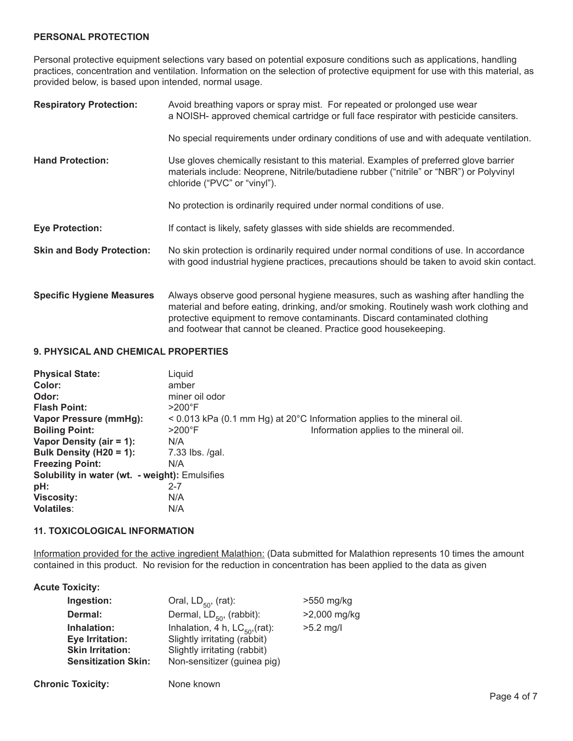# **PERSONAL PROTECTION**

Personal protective equipment selections vary based on potential exposure conditions such as applications, handling practices, concentration and ventilation. Information on the selection of protective equipment for use with this material, as provided below, is based upon intended, normal usage.

| <b>Respiratory Protection:</b>   | Avoid breathing vapors or spray mist. For repeated or prolonged use wear<br>a NOISH- approved chemical cartridge or full face respirator with pesticide cansiters.                                                                                                                                                            |
|----------------------------------|-------------------------------------------------------------------------------------------------------------------------------------------------------------------------------------------------------------------------------------------------------------------------------------------------------------------------------|
|                                  | No special requirements under ordinary conditions of use and with adequate ventilation.                                                                                                                                                                                                                                       |
| <b>Hand Protection:</b>          | Use gloves chemically resistant to this material. Examples of preferred glove barrier<br>materials include: Neoprene, Nitrile/butadiene rubber ("nitrile" or "NBR") or Polyvinyl<br>chloride ("PVC" or "vinyl").                                                                                                              |
|                                  | No protection is ordinarily required under normal conditions of use.                                                                                                                                                                                                                                                          |
| <b>Eye Protection:</b>           | If contact is likely, safety glasses with side shields are recommended.                                                                                                                                                                                                                                                       |
| <b>Skin and Body Protection:</b> | No skin protection is ordinarily required under normal conditions of use. In accordance<br>with good industrial hygiene practices, precautions should be taken to avoid skin contact.                                                                                                                                         |
| <b>Specific Hygiene Measures</b> | Always observe good personal hygiene measures, such as washing after handling the<br>material and before eating, drinking, and/or smoking. Routinely wash work clothing and<br>protective equipment to remove contaminants. Discard contaminated clothing<br>and footwear that cannot be cleaned. Practice good housekeeping. |

# **9. PHYSICAL AND CHEMICAL PROPERTIES**

| <b>Physical State:</b>                                | Liquid                                                                                 |  |
|-------------------------------------------------------|----------------------------------------------------------------------------------------|--|
| Color:                                                | amber                                                                                  |  |
| Odor:                                                 | miner oil odor                                                                         |  |
| <b>Flash Point:</b>                                   | $>200^\circ$ F                                                                         |  |
| Vapor Pressure (mmHg):                                | $\leq$ 0.013 kPa (0.1 mm Hg) at 20 $\degree$ C Information applies to the mineral oil. |  |
| <b>Boiling Point:</b>                                 | Information applies to the mineral oil.<br>$>200^\circ F$                              |  |
| Vapor Density (air = 1):                              | N/A                                                                                    |  |
| Bulk Density (H20 = 1):                               | 7.33 lbs. /gal.                                                                        |  |
| <b>Freezing Point:</b>                                | N/A                                                                                    |  |
| <b>Solubility in water (wt. - weight):</b> Emulsifies |                                                                                        |  |
| pH:                                                   | $2 - 7$                                                                                |  |
| <b>Viscosity:</b>                                     | N/A                                                                                    |  |
| <b>Volatiles:</b>                                     | N/A                                                                                    |  |

# **11. TOXICOLOGICAL INFORMATION**

Information provided for the active ingredient Malathion: (Data submitted for Malathion represents 10 times the amount contained in this product. No revision for the reduction in concentration has been applied to the data as given

# **Acute Toxicity:**

| Ingestion:                                                                                     | Oral, $LD_{50}$ , (rat):                                                                                                           | >550 mg/kg   |
|------------------------------------------------------------------------------------------------|------------------------------------------------------------------------------------------------------------------------------------|--------------|
| Dermal:                                                                                        | Dermal, $LD_{50}$ , (rabbit):                                                                                                      | >2,000 mg/kg |
| Inhalation:<br><b>Eye Irritation:</b><br><b>Skin Irritation:</b><br><b>Sensitization Skin:</b> | Inhalation, 4 h, $LC_{50}$ , (rat):<br>Slightly irritating (rabbit)<br>Slightly irritating (rabbit)<br>Non-sensitizer (guinea pig) | $>5.2$ mg/l  |

**Chronic Toxicity:** None known

Page 4 of 7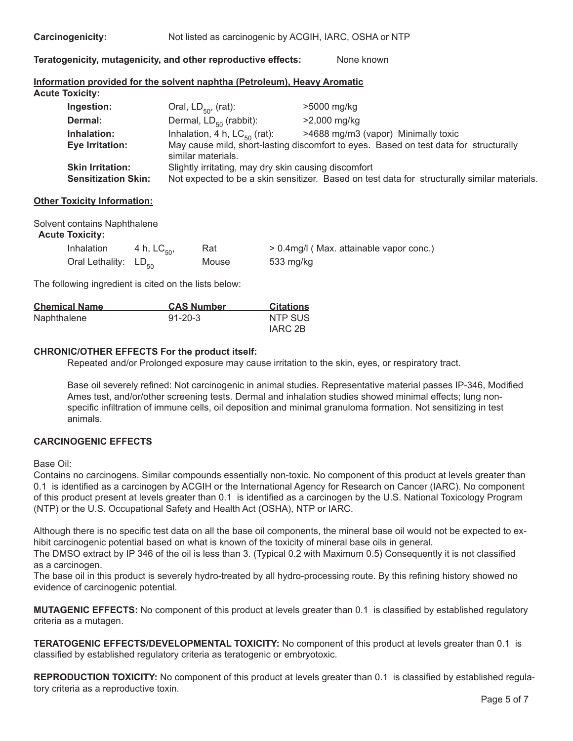| <b>Carcinogenicity:</b> |  |
|-------------------------|--|
|-------------------------|--|

Not listed as carcinogenic by ACGIH, IARC, OSHA or NTP

**Teratogenicity, mutagenicity, and other reproductive effects:** None known

#### **Information provided for the solvent naphtha (Petroleum), Heavy Aromatic Acute Toxicity:**

| Oral, $LD_{50}$ , (rat):                             | >5000 mg/kg                                                                                  |
|------------------------------------------------------|----------------------------------------------------------------------------------------------|
| Dermal, $LD_{50}$ (rabbit):                          | >2,000 mg/kg                                                                                 |
| Inhalation, 4 h, $LC_{50}$ (rat):                    | >4688 mg/m3 (vapor) Minimally toxic                                                          |
| similar materials.                                   | May cause mild, short-lasting discomfort to eyes. Based on test data for structurally        |
| Slightly irritating, may dry skin causing discomfort |                                                                                              |
|                                                      | Not expected to be a skin sensitizer. Based on test data for structurally similar materials. |
|                                                      |                                                                                              |

# **Other Toxicity Information:**

| Solvent contains Naphthalene |  |
|------------------------------|--|
| <b>Acute Toxicity:</b>       |  |

| <b>Inhalation</b>         | 4 h, $LC_{50}$ , | Rat   | > 0.4mg/l (Max. attainable vapor conc.) |
|---------------------------|------------------|-------|-----------------------------------------|
| Oral Lethality: $LD_{50}$ |                  | Mouse | 533 mg/kg                               |

The following ingredient is cited on the lists below:

| <b>Chemical Name</b> | <b>CAS Number</b> | <b>Citations</b> |
|----------------------|-------------------|------------------|
| Naphthalene          | $91 - 20 - 3$     | NTP SUS          |
|                      |                   | IARC 2B          |

# **CHRONIC/OTHER EFFECTS For the product itself:**

Repeated and/or Prolonged exposure may cause irritation to the skin, eyes, or respiratory tract.

Base oil severely refined: Not carcinogenic in animal studies. Representative material passes IP-346, Modified Ames test, and/or/other screening tests. Dermal and inhalation studies showed minimal effects; lung nonspecific infiltration of immune cells, oil deposition and minimal granuloma formation. Not sensitizing in test animals.

# **CARCINOGENIC EFFECTS**

Base Oil:

Contains no carcinogens. Similar compounds essentially non-toxic. No component of this product at levels greater than 0.1 is identified as a carcinogen by ACGIH or the International Agency for Research on Cancer (IARC). No component of this product present at levels greater than 0.1 is identified as a carcinogen by the U.S. National Toxicology Program (NTP) or the U.S. Occupational Safety and Health Act (OSHA), NTP or IARC.

Although there is no specific test data on all the base oil components, the mineral base oil would not be expected to exhibit carcinogenic potential based on what is known of the toxicity of mineral base oils in general.

The DMSO extract by IP 346 of the oil is less than 3. (Typical 0.2 with Maximum 0.5) Consequently it is not classified as a carcinogen.

The base oil in this product is severely hydro-treated by all hydro-processing route. By this refining history showed no evidence of carcinogenic potential.

**MUTAGENIC EFFECTS:** No component of this product at levels greater than 0.1 is classified by established regulatory criteria as a mutagen.

**TERATOGENIC EFFECTS/DEVELOPMENTAL TOXICITY:** No component of this product at levels greater than 0.1 is classified by established regulatory criteria as teratogenic or embryotoxic.

**REPRODUCTION TOXICITY:** No component of this product at levels greater than 0.1 is classified by established regulatory criteria as a reproductive toxin.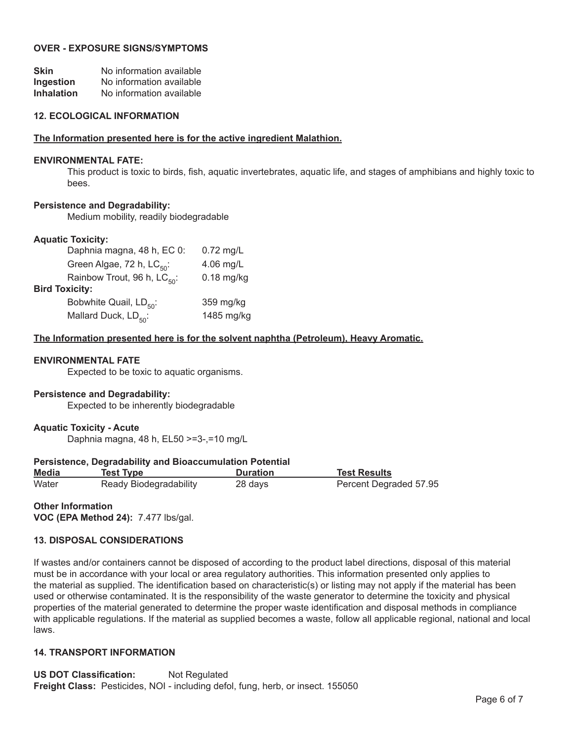# **OVER - EXPOSURE SIGNS/SYMPTOMS**

| <b>Skin</b>       | No information available |
|-------------------|--------------------------|
| Ingestion         | No information available |
| <b>Inhalation</b> | No information available |

#### **12. ECOLOGICAL INFORMATION**

#### **The lnformation presented here is for the active ingredient Malathion.**

#### **ENVIRONMENTAL FATE:**

This product is toxic to birds, fish, aquatic invertebrates, aquatic life, and stages of amphibians and highly toxic to bees.

# **Persistence and Degradability:**

Medium mobility, readily biodegradable

# **Aquatic Toxicity:**

| Daphnia magna, 48 h, EC 0:              | $0.72$ mg/L  |
|-----------------------------------------|--------------|
| Green Algae, 72 h, LC <sub>50</sub> :   | 4.06 mg/L    |
| Rainbow Trout, 96 h, LC <sub>50</sub> : | $0.18$ mg/kg |
| <b>Bird Toxicity:</b>                   |              |
| Bobwhite Quail, LD <sub>50</sub> :      | 359 mg/kg    |
| Mallard Duck, LD <sub>50</sub> :        | 1485 mg/kg   |
|                                         |              |

# **The lnformation presented here is for the solvent naphtha (Petroleum), Heavy Aromatic.**

#### **ENVIRONMENTAL FATE**

Expected to be toxic to aquatic organisms.

# **Persistence and Degradability:**

Expected to be inherently biodegradable

# **Aquatic Toxicity - Acute**

Daphnia magna, 48 h, EL50 >=3-,=10 mg/L

# **Persistence, Degradability and Bioaccumulation Potential**

| <b>Media</b> | Test Type              | <b>Duration</b> | <b>Test Results</b>    |
|--------------|------------------------|-----------------|------------------------|
| Water        | Ready Biodegradability | 28 days         | Percent Degraded 57.95 |

**Other Information VOC (EPA Method 24):** 7.477 lbs/gal.

# **13. DISPOSAL CONSIDERATIONS**

If wastes and/or containers cannot be disposed of according to the product label directions, disposal of this material must be in accordance with your local or area regulatory authorities. This information presented only applies to the material as supplied. The identification based on characteristic(s) or listing may not apply if the material has been used or otherwise contaminated. It is the responsibility of the waste generator to determine the toxicity and physical properties of the material generated to determine the proper waste identification and disposal methods in compliance with applicable regulations. If the material as supplied becomes a waste, follow all applicable regional, national and local laws.

# **14. TRANSPORT INFORMATION**

**US DOT Classification:** Not Regulated **Freight Class:** Pesticides, NOI - including defol, fung, herb, or insect. 155050